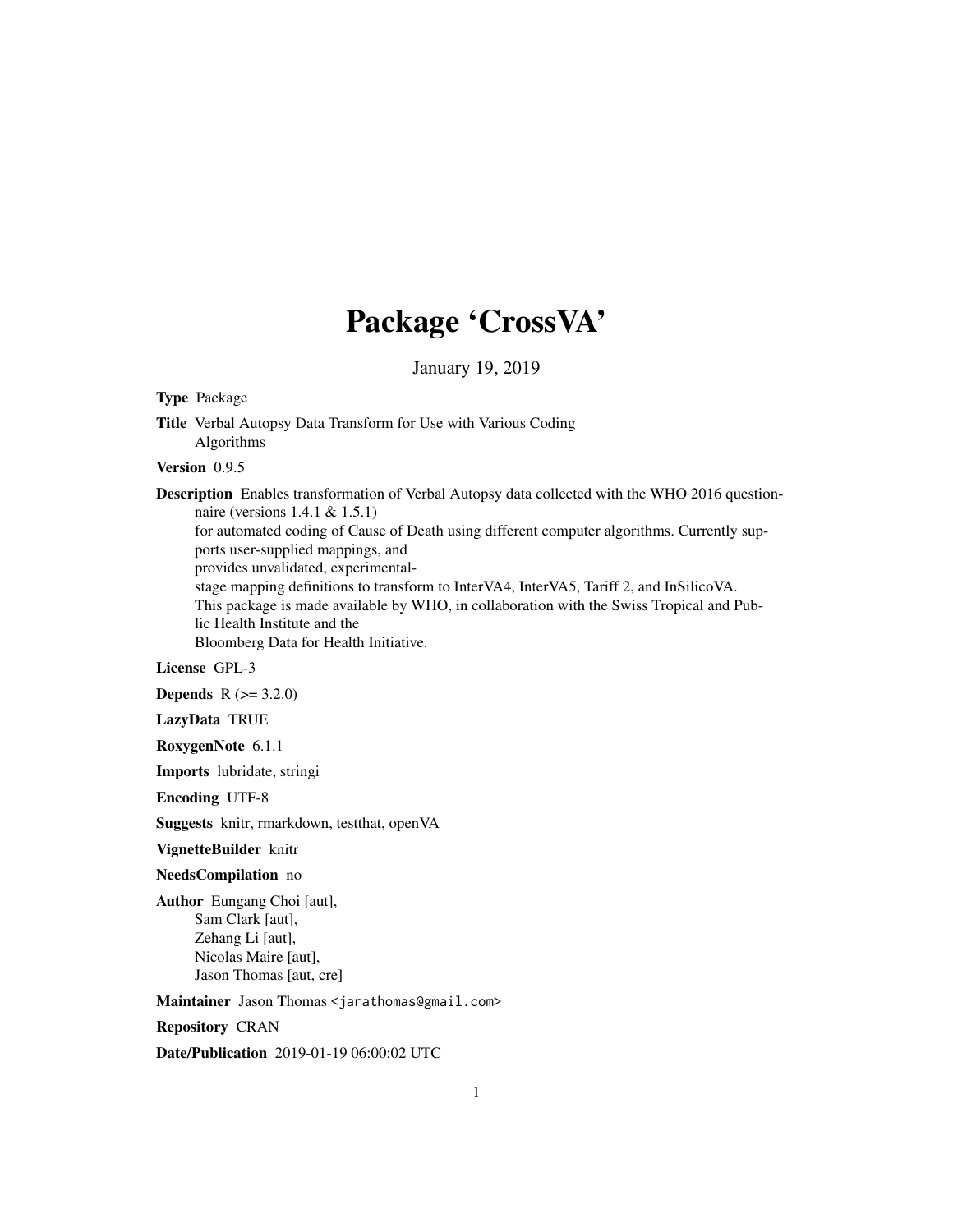## Package 'CrossVA'

January 19, 2019

Type Package

Title Verbal Autopsy Data Transform for Use with Various Coding Algorithms

Version 0.9.5

Description Enables transformation of Verbal Autopsy data collected with the WHO 2016 questionnaire (versions 1.4.1 & 1.5.1) for automated coding of Cause of Death using different computer algorithms. Currently supports user-supplied mappings, and provides unvalidated, experimentalstage mapping definitions to transform to InterVA4, InterVA5, Tariff 2, and InSilicoVA. This package is made available by WHO, in collaboration with the Swiss Tropical and Public Health Institute and the Bloomberg Data for Health Initiative.

License GPL-3

**Depends**  $R (= 3.2.0)$ 

LazyData TRUE

RoxygenNote 6.1.1

Imports lubridate, stringi

Encoding UTF-8

Suggests knitr, rmarkdown, testthat, openVA

VignetteBuilder knitr

NeedsCompilation no

Author Eungang Choi [aut], Sam Clark [aut], Zehang Li [aut], Nicolas Maire [aut], Jason Thomas [aut, cre]

Maintainer Jason Thomas <jarathomas@gmail.com>

Repository CRAN

Date/Publication 2019-01-19 06:00:02 UTC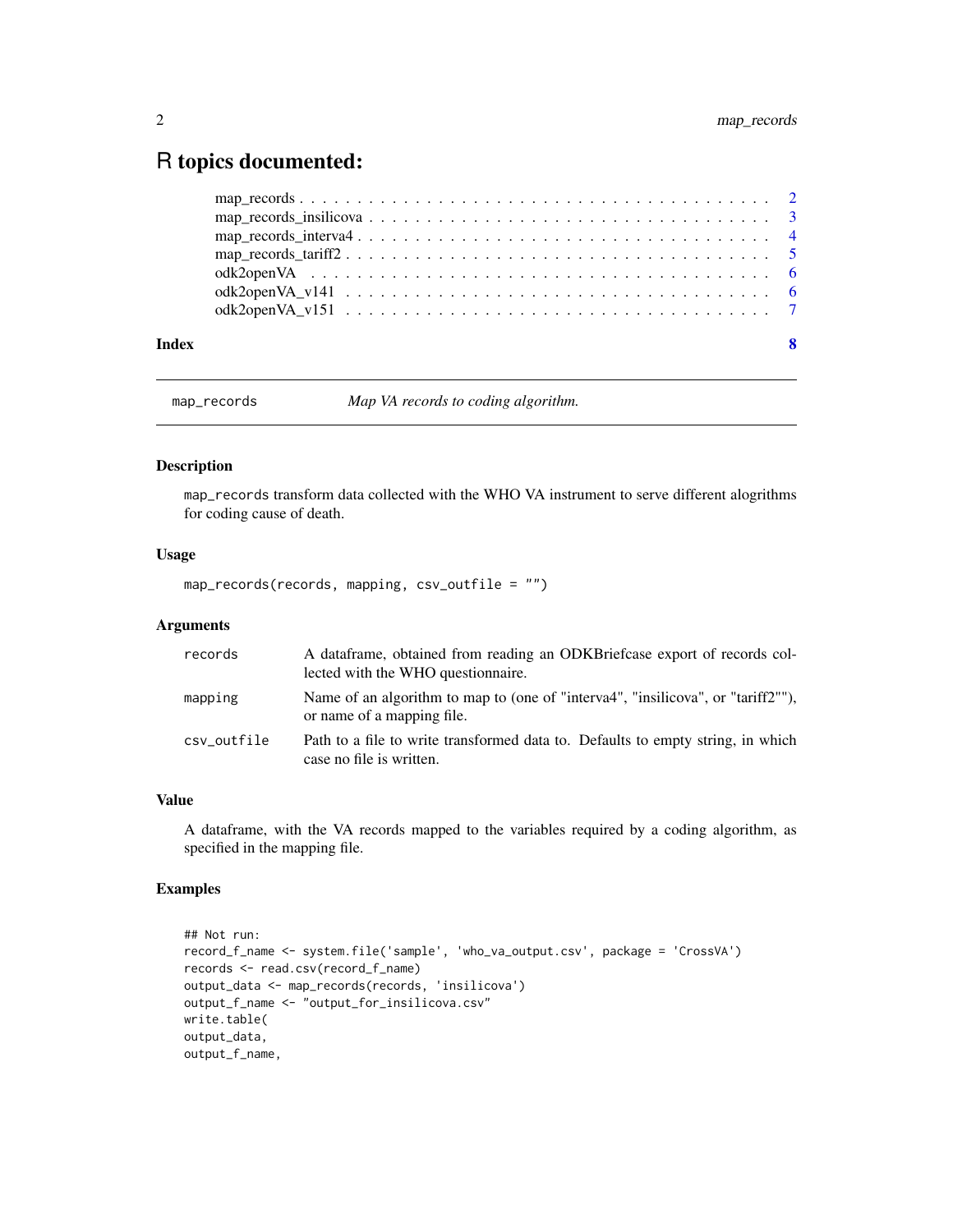### <span id="page-1-0"></span>R topics documented:

| Index | - 8 |
|-------|-----|
|       |     |
|       |     |
|       |     |
|       |     |
|       |     |
|       |     |
|       |     |

map\_records *Map VA records to coding algorithm.*

#### Description

map\_records transform data collected with the WHO VA instrument to serve different alogrithms for coding cause of death.

#### Usage

map\_records(records, mapping, csv\_outfile = "")

#### Arguments

| records     | A dataframe, obtained from reading an ODKB rief case export of records col-<br>lected with the WHO question aire. |
|-------------|-------------------------------------------------------------------------------------------------------------------|
| mapping     | Name of an algorithm to map to (one of "interva4", "insilicova", or "tariff2""),<br>or name of a mapping file.    |
| csy outfile | Path to a file to write transformed data to. Defaults to empty string, in which<br>case no file is written.       |

#### Value

A dataframe, with the VA records mapped to the variables required by a coding algorithm, as specified in the mapping file.

#### Examples

```
## Not run:
record_f_name <- system.file('sample', 'who_va_output.csv', package = 'CrossVA')
records <- read.csv(record_f_name)
output_data <- map_records(records, 'insilicova')
output_f_name <- "output_for_insilicova.csv"
write.table(
output_data,
output_f_name,
```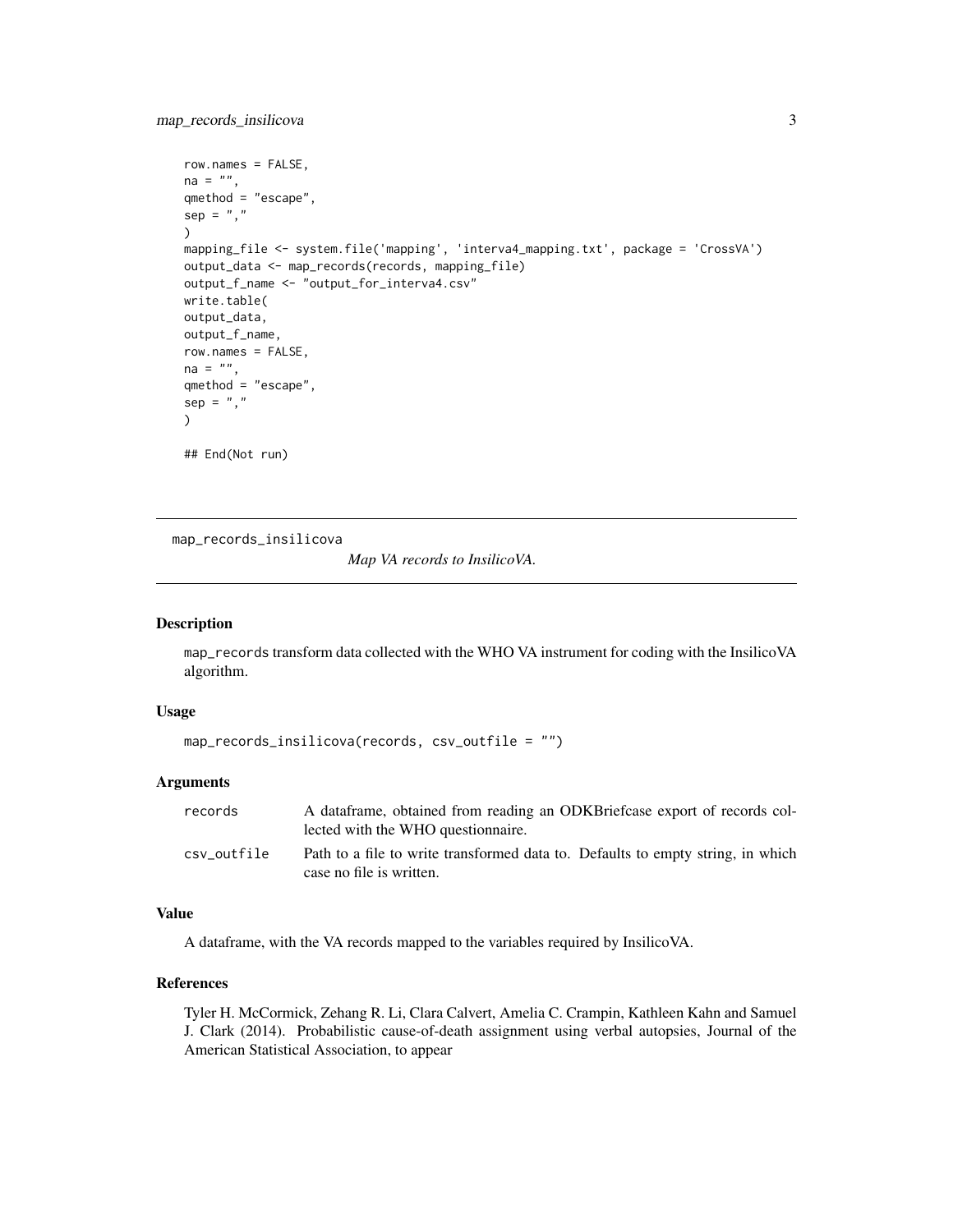```
row.names = FALSE,
na = ""qmethod = "escape",
sep = ",")
mapping_file <- system.file('mapping', 'interva4_mapping.txt', package = 'CrossVA')
output_data <- map_records(records, mapping_file)
output_f_name <- "output_for_interva4.csv"
write.table(
output_data,
output_f_name,
row.names = FALSE,
na = "".qmethod = "escape",
sep = ",")
## End(Not run)
```
map\_records\_insilicova

*Map VA records to InsilicoVA.*

#### Description

map\_records transform data collected with the WHO VA instrument for coding with the InsilicoVA algorithm.

#### Usage

```
map_records_insilicova(records, csv_outfile = "")
```
#### Arguments

| records     | A dataframe, obtained from reading an ODKB rief case export of records col-<br>lected with the WHO question aire. |
|-------------|-------------------------------------------------------------------------------------------------------------------|
| csv outfile | Path to a file to write transformed data to. Defaults to empty string, in which<br>case no file is written.       |

#### Value

A dataframe, with the VA records mapped to the variables required by InsilicoVA.

#### References

Tyler H. McCormick, Zehang R. Li, Clara Calvert, Amelia C. Crampin, Kathleen Kahn and Samuel J. Clark (2014). Probabilistic cause-of-death assignment using verbal autopsies, Journal of the American Statistical Association, to appear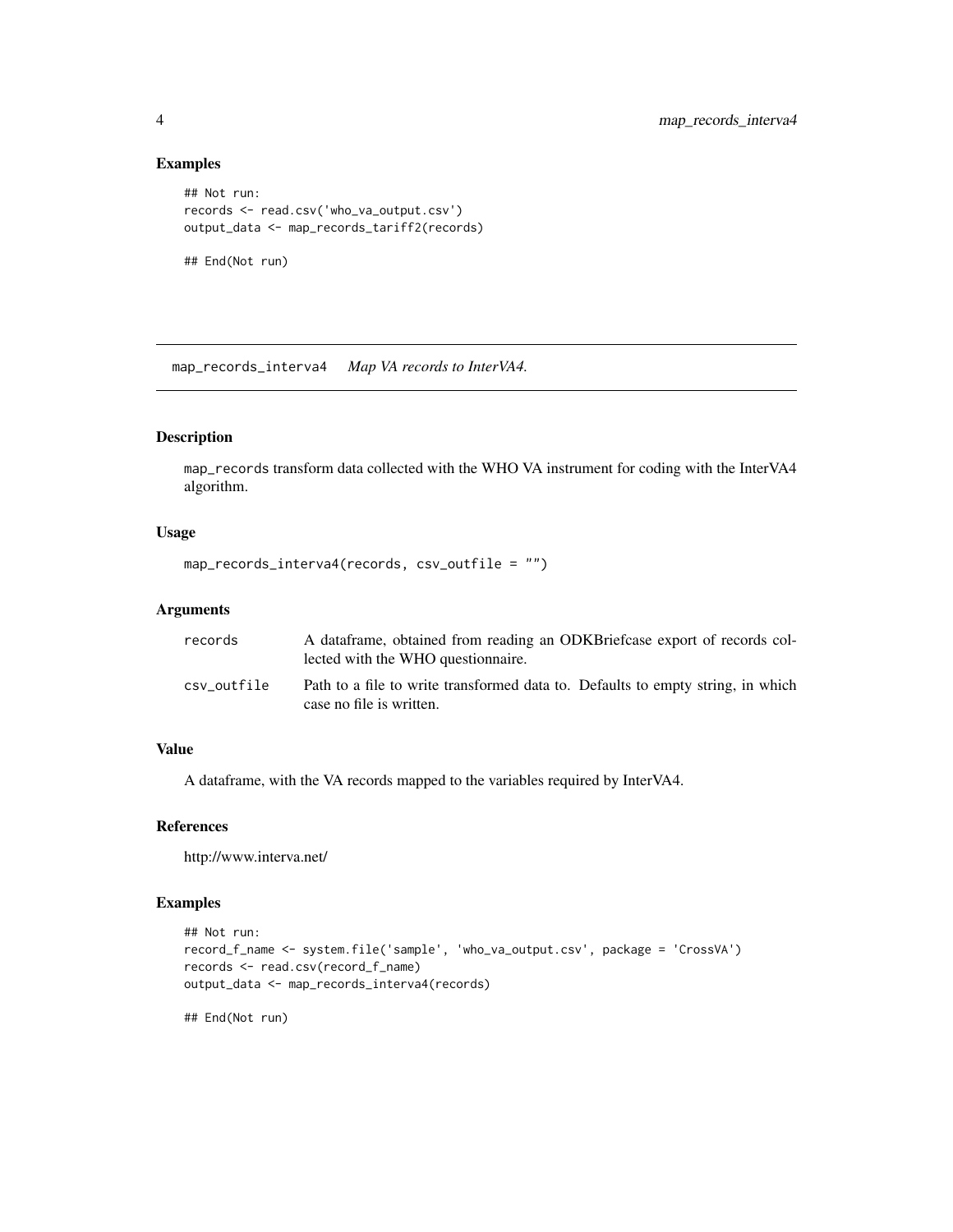#### Examples

```
## Not run:
records <- read.csv('who_va_output.csv')
output_data <- map_records_tariff2(records)
```
## End(Not run)

map\_records\_interva4 *Map VA records to InterVA4.*

#### Description

map\_records transform data collected with the WHO VA instrument for coding with the InterVA4 algorithm.

#### Usage

```
map_records_interva4(records, csv_outfile = "")
```
#### Arguments

| records     | A dataframe, obtained from reading an ODKB rief case export of records col-<br>lected with the WHO question aire. |
|-------------|-------------------------------------------------------------------------------------------------------------------|
| csv outfile | Path to a file to write transformed data to. Defaults to empty string, in which<br>case no file is written.       |

#### Value

A dataframe, with the VA records mapped to the variables required by InterVA4.

#### References

http://www.interva.net/

#### Examples

```
## Not run:
record_f_name <- system.file('sample', 'who_va_output.csv', package = 'CrossVA')
records <- read.csv(record_f_name)
output_data <- map_records_interva4(records)
```
## End(Not run)

<span id="page-3-0"></span>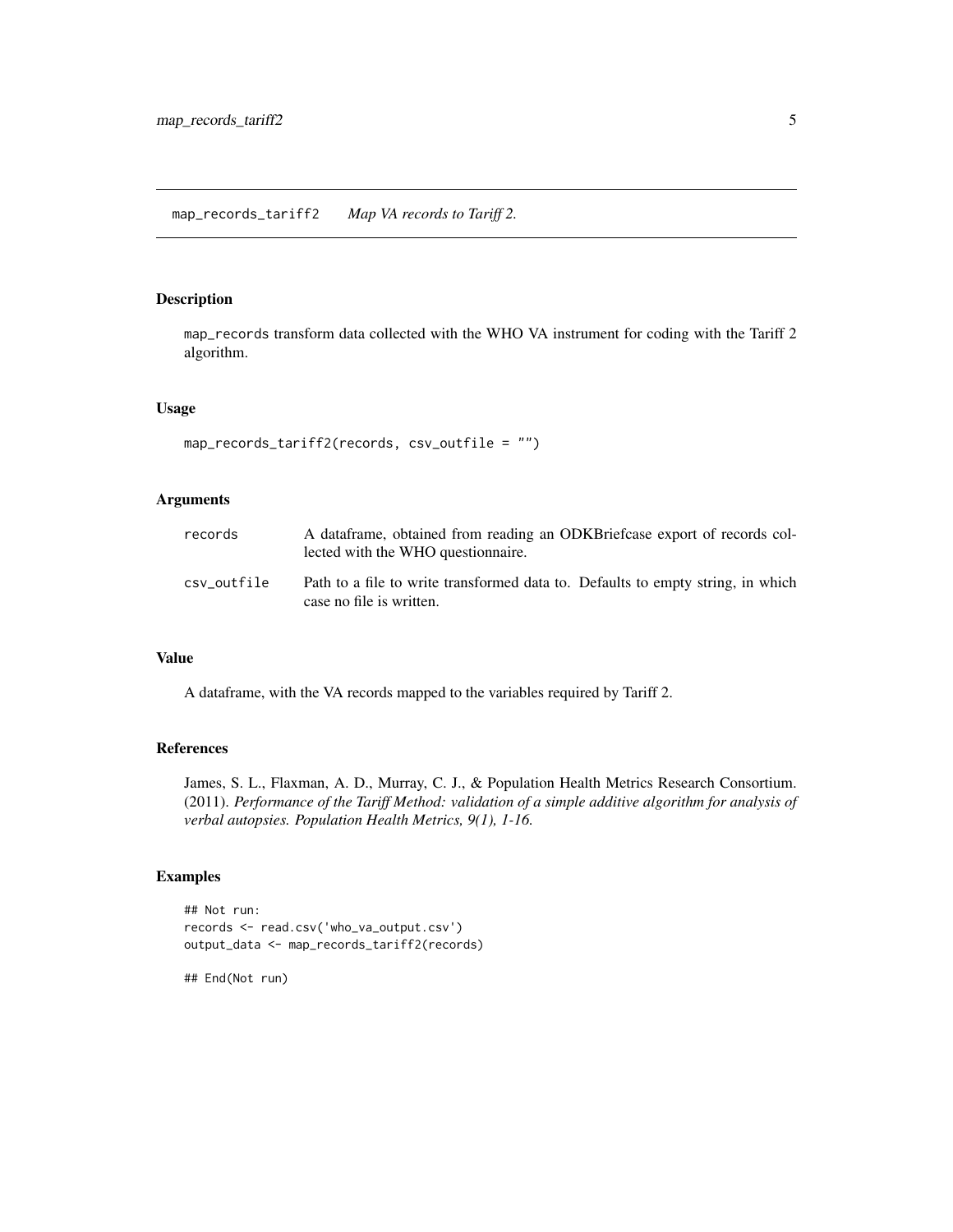#### <span id="page-4-0"></span>Description

map\_records transform data collected with the WHO VA instrument for coding with the Tariff 2 algorithm.

#### Usage

```
map_records_tariff2(records, csv_outfile = "")
```
#### Arguments

| records     | A dataframe, obtained from reading an ODKB rief case export of records col-<br>lected with the WHO question aire. |
|-------------|-------------------------------------------------------------------------------------------------------------------|
| csv outfile | Path to a file to write transformed data to. Defaults to empty string, in which<br>case no file is written.       |

#### Value

A dataframe, with the VA records mapped to the variables required by Tariff 2.

#### References

James, S. L., Flaxman, A. D., Murray, C. J., & Population Health Metrics Research Consortium. (2011). *Performance of the Tariff Method: validation of a simple additive algorithm for analysis of verbal autopsies. Population Health Metrics, 9(1), 1-16.*

#### Examples

```
## Not run:
records <- read.csv('who_va_output.csv')
output_data <- map_records_tariff2(records)
```
## End(Not run)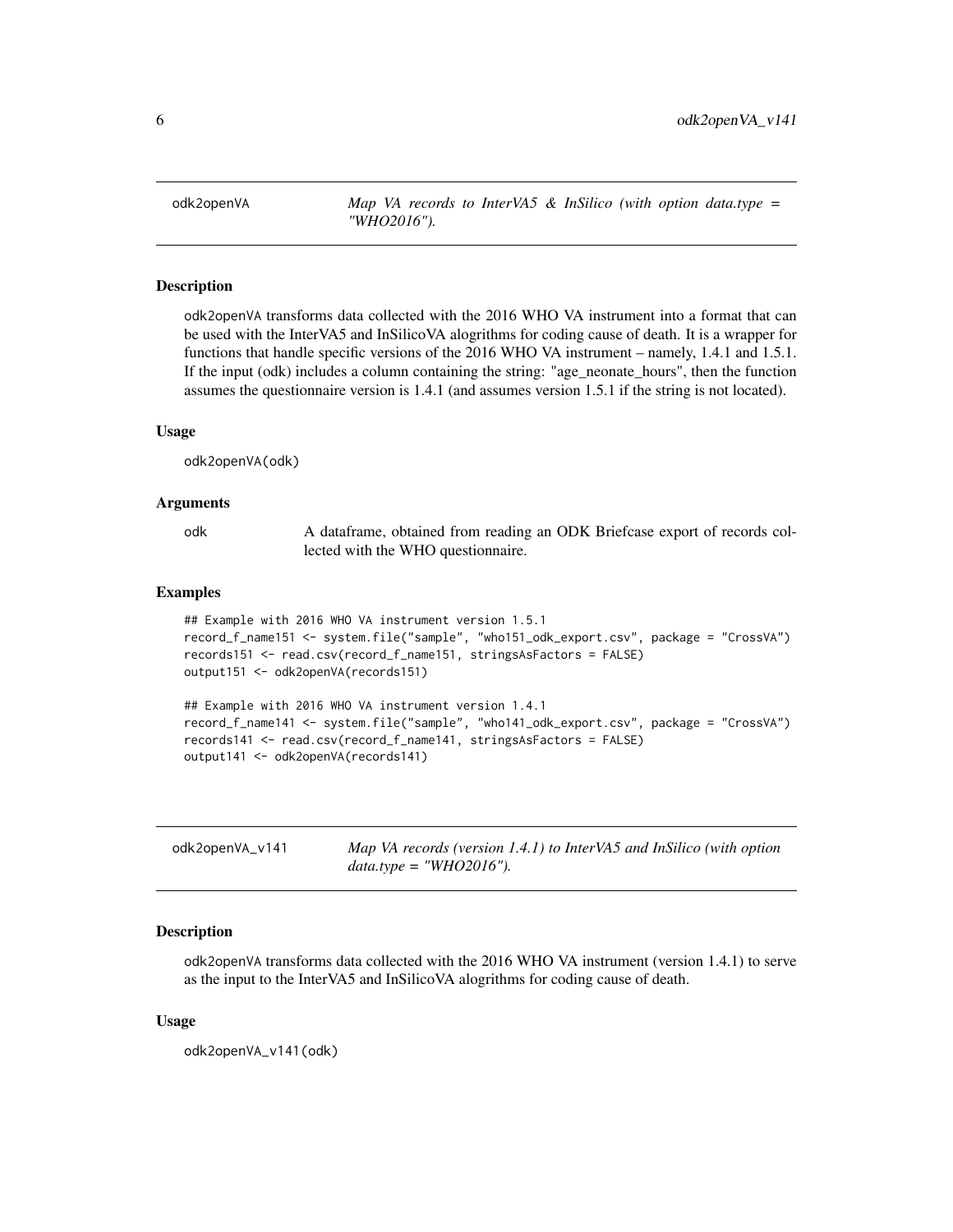<span id="page-5-0"></span>odk2openVA *Map VA records to InterVA5 & InSilico (with option data.type = "WHO2016").*

#### Description

odk2openVA transforms data collected with the 2016 WHO VA instrument into a format that can be used with the InterVA5 and InSilicoVA alogrithms for coding cause of death. It is a wrapper for functions that handle specific versions of the 2016 WHO VA instrument – namely, 1.4.1 and 1.5.1. If the input (odk) includes a column containing the string: "age\_neonate\_hours", then the function assumes the questionnaire version is 1.4.1 (and assumes version 1.5.1 if the string is not located).

#### Usage

odk2openVA(odk)

#### Arguments

odk A dataframe, obtained from reading an ODK Briefcase export of records collected with the WHO questionnaire.

#### Examples

```
## Example with 2016 WHO VA instrument version 1.5.1
record_f_name151 <- system.file("sample", "who151_odk_export.csv", package = "CrossVA")
records151 <- read.csv(record_f_name151, stringsAsFactors = FALSE)
output151 <- odk2openVA(records151)
## Example with 2016 WHO VA instrument version 1.4.1
record_f_name141 <- system.file("sample", "who141_odk_export.csv", package = "CrossVA")
records141 <- read.csv(record_f_name141, stringsAsFactors = FALSE)
output141 <- odk2openVA(records141)
```

| odk2openVA_v141 | Map VA records (version 1.4.1) to InterVA5 and InSilico (with option |
|-----------------|----------------------------------------------------------------------|
|                 | $data_type = "WHO2016").$                                            |

#### Description

odk2openVA transforms data collected with the 2016 WHO VA instrument (version 1.4.1) to serve as the input to the InterVA5 and InSilicoVA alogrithms for coding cause of death.

#### Usage

odk2openVA\_v141(odk)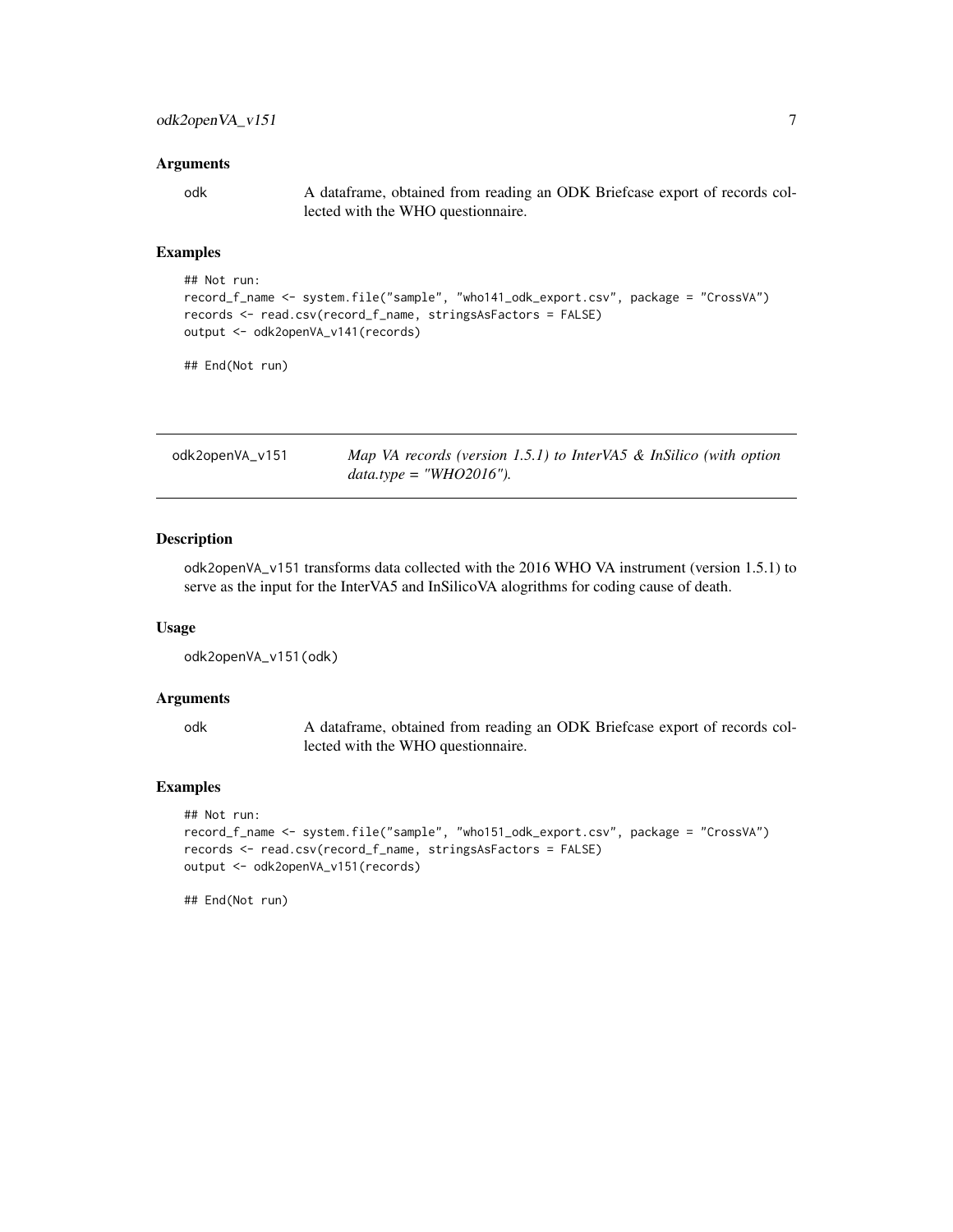#### <span id="page-6-0"></span>Arguments

odk A dataframe, obtained from reading an ODK Briefcase export of records collected with the WHO questionnaire.

#### Examples

```
## Not run:
record_f_name <- system.file("sample", "who141_odk_export.csv", package = "CrossVA")
records <- read.csv(record_f_name, stringsAsFactors = FALSE)
output <- odk2openVA_v141(records)
```
## End(Not run)

| odk2openVA_v151 | Map VA records (version 1.5.1) to InterVA5 & InSilico (with option |
|-----------------|--------------------------------------------------------------------|
|                 | $data_type = "WHO2016".$                                           |

#### Description

odk2openVA\_v151 transforms data collected with the 2016 WHO VA instrument (version 1.5.1) to serve as the input for the InterVA5 and InSilicoVA alogrithms for coding cause of death.

#### Usage

```
odk2openVA_v151(odk)
```
#### Arguments

odk A dataframe, obtained from reading an ODK Briefcase export of records collected with the WHO questionnaire.

#### Examples

```
## Not run:
record_f_name <- system.file("sample", "who151_odk_export.csv", package = "CrossVA")
records <- read.csv(record_f_name, stringsAsFactors = FALSE)
output <- odk2openVA_v151(records)
```
## End(Not run)